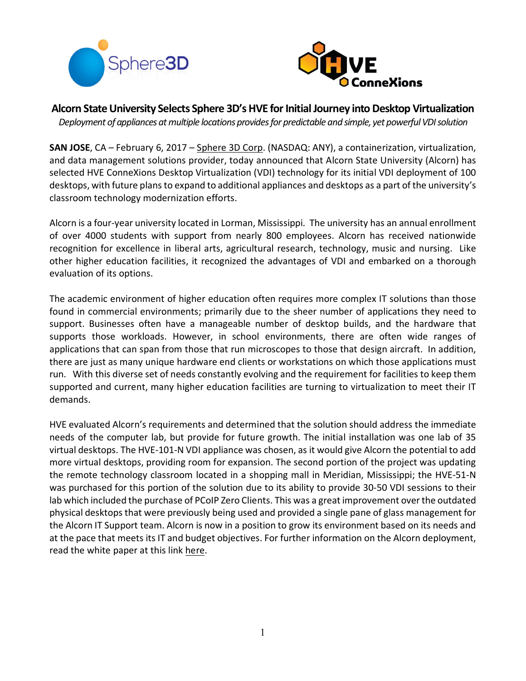



**Alcorn State University Selects Sphere 3D's HVE for Initial Journey into Desktop Virtualization**

*Deployment of appliances at multiple locations provides for predictable and simple, yet powerful VDI solution* 

**SAN JOSE**, CA – February 6, 2017 – Sphere 3D Corp. (NASDAQ: ANY), a containerization, virtualization, and data management solutions provider, today announced that Alcorn State University (Alcorn) has selected HVE ConneXions Desktop Virtualization (VDI) technology for its initial VDI deployment of 100 desktops, with future plans to expand to additional appliances and desktops as a part of the university's classroom technology modernization efforts.

Alcorn is a four-year university located in Lorman, Mississippi. The university has an annual enrollment of over 4000 students with support from nearly 800 employees. Alcorn has received nationwide recognition for excellence in liberal arts, agricultural research, technology, music and nursing. Like other higher education facilities, it recognized the advantages of VDI and embarked on a thorough evaluation of its options.

The academic environment of higher education often requires more complex IT solutions than those found in commercial environments; primarily due to the sheer number of applications they need to support. Businesses often have a manageable number of desktop builds, and the hardware that supports those workloads. However, in school environments, there are often wide ranges of applications that can span from those that run microscopes to those that design aircraft. In addition, there are just as many unique hardware end clients or workstations on which those applications must run. With this diverse set of needs constantly evolving and the requirement for facilities to keep them supported and current, many higher education facilities are turning to virtualization to meet their IT demands.

HVE evaluated Alcorn's requirements and determined that the solution should address the immediate needs of the computer lab, but provide for future growth. The initial installation was one lab of 35 virtual desktops. The HVE-101-N VDI appliance was chosen, as it would give Alcorn the potential to add more virtual desktops, providing room for expansion. The second portion of the project was updating the remote technology classroom located in a shopping mall in Meridian, Mississippi; the HVE-51-N was purchased for this portion of the solution due to its ability to provide 30-50 VDI sessions to their lab which included the purchase of PCoIP Zero Clients. This was a great improvement overthe outdated physical desktops that were previously being used and provided a single pane of glass management for the Alcorn IT Support team. Alcorn is now in a position to grow its environment based on its needs and at the pace that meets its IT and budget objectives. For further information on the Alcorn deployment, read the white paper at this link here.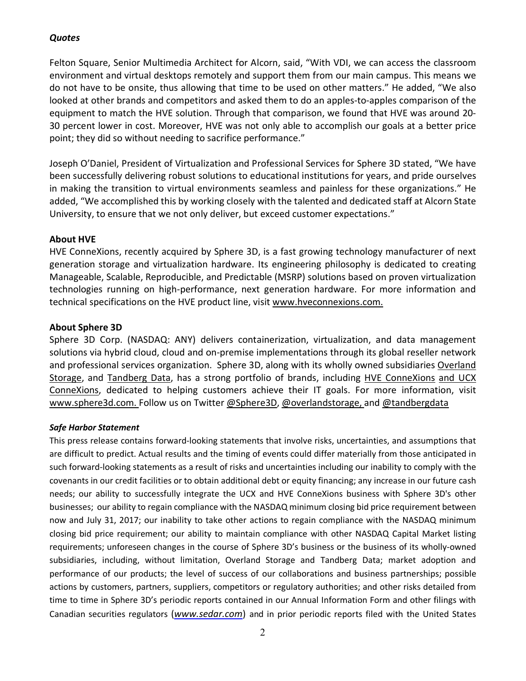## *Quotes*

Felton Square, Senior Multimedia Architect for Alcorn, said, "With VDI, we can access the classroom environment and virtual desktops remotely and support them from our main campus. This means we do not have to be onsite, thus allowing that time to be used on other matters." He added, "We also looked at other brands and competitors and asked them to do an apples-to-apples comparison of the equipment to match the HVE solution. Through that comparison, we found that HVE was around 20- 30 percent lower in cost. Moreover, HVE was not only able to accomplish our goals at a better price point; they did so without needing to sacrifice performance."

Joseph O'Daniel, President of Virtualization and Professional Services for Sphere 3D stated, "We have been successfully delivering robust solutions to educational institutions for years, and pride ourselves in making the transition to virtual environments seamless and painless for these organizations." He added, "We accomplished this by working closely with the talented and dedicated staff at Alcorn State University, to ensure that we not only deliver, but exceed customer expectations."

## **About HVE**

HVE ConneXions, recently acquired by Sphere 3D, is a fast growing technology manufacturer of next generation storage and virtualization hardware. Its engineering philosophy is dedicated to creating Manageable, Scalable, Reproducible, and Predictable (MSRP) solutions based on proven virtualization technologies running on high-performance, next generation hardware. For more information and technical specifications on the HVE product line, visit www.hveconnexions.com.

## **About Sphere 3D**

Sphere 3D Corp. (NASDAQ: ANY) delivers containerization, virtualization, and data management solutions via hybrid cloud, cloud and on-premise implementations through its global reseller network and professional services organization. Sphere 3D, along with its wholly owned subsidiaries Overland Storage, and Tandberg Data, has a strong portfolio of brands, including HVE ConneXions and UCX ConneXions, dedicated to helping customers achieve their IT goals. For more information, visit www.sphere3d.com. Follow us on Twitter @Sphere3D, @overlandstorage, and @tandbergdata

## *Safe Harbor Statement*

This press release contains forward-looking statements that involve risks, uncertainties, and assumptions that are difficult to predict. Actual results and the timing of events could differ materially from those anticipated in such forward-looking statements as a result of risks and uncertainties including our inability to comply with the covenants in our credit facilities or to obtain additional debt or equity financing; any increase in our future cash needs; our ability to successfully integrate the UCX and HVE ConneXions business with Sphere 3D's other businesses; our ability to regain compliance with the NASDAQ minimum closing bid price requirement between now and July 31, 2017; our inability to take other actions to regain compliance with the NASDAQ minimum closing bid price requirement; our ability to maintain compliance with other NASDAQ Capital Market listing requirements; unforeseen changes in the course of Sphere 3D's business or the business of its wholly-owned subsidiaries, including, without limitation, Overland Storage and Tandberg Data; market adoption and performance of our products; the level of success of our collaborations and business partnerships; possible actions by customers, partners, suppliers, competitors or regulatory authorities; and other risks detailed from time to time in Sphere 3D's periodic reports contained in our Annual Information Form and other filings with Canadian securities regulators (*www.sedar.com*) and in prior periodic reports filed with the United States